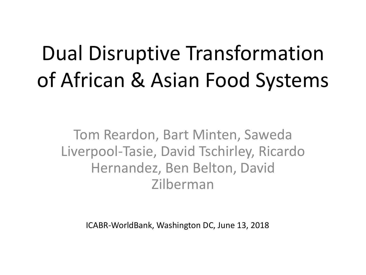# Dual Disruptive Transformation of African & Asian Food Systems

Tom Reardon, Bart Minten, Saweda Liverpool-Tasie, David Tschirley, Ricardo Hernandez, Ben Belton, David Zilberman

ICABR-WorldBank, Washington DC, June 13, 2018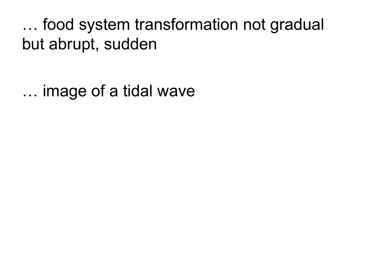… food system transformation not gradual but abrupt, sudden

… image of a tidal wave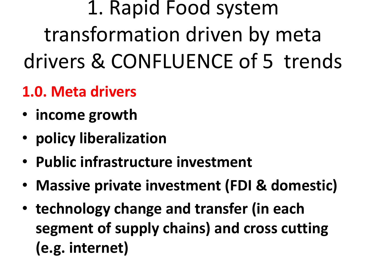1. Rapid Food system transformation driven by meta drivers & CONFLUENCE of 5 trends

# **1.0. Meta drivers**

- **income** growth
- **policy liberalization**
- Public infrastructure investment
- Massive private investment (FDI & domestic)
- technology change and transfer (in each segment of supply chains) and cross cutting **(e.g. internet)**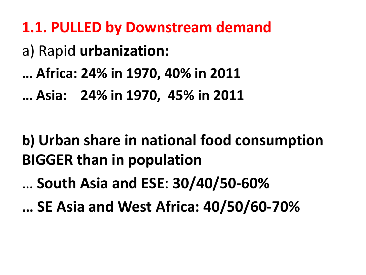**1.1. PULLED by Downstream demand** a) Rapid **urbanization: … Africa: 24% in 1970, 40% in 2011 … Asia: 24% in 1970, 45% in 2011**

### **b)** Urban share in national food consumption **BIGGER than in population**

… **South Asia and ESE**: **30/40/50-60%** 

**… SE Asia and West Africa: 40/50/60-70%**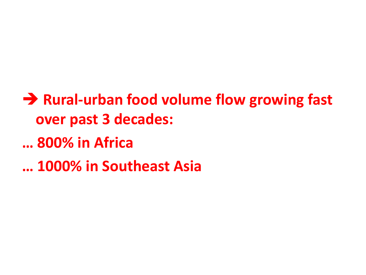$\rightarrow$  **Rural-urban food volume flow growing fast over past 3 decades: … 800% in Africa … 1000% in Southeast Asia**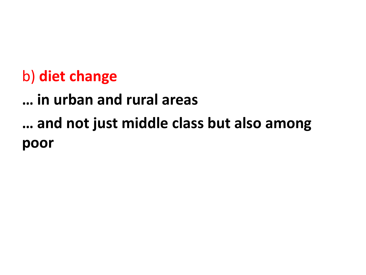#### b) diet change

**… in urban and rural areas … and not just middle class but also among poor**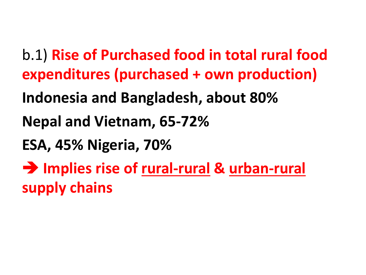**b.1) Rise of Purchased food in total rural food expenditures (purchased + own production) Indonesia and Bangladesh, about 80% Nepal and Vietnam, 65-72% ESA, 45% Nigeria, 70%**  $\rightarrow$  **Implies rise of rural-rural & urban-rural supply chains**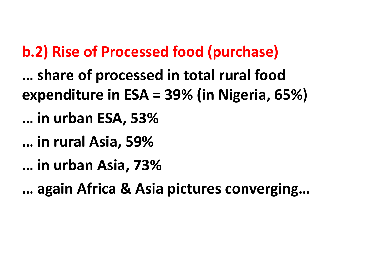#### **b.2) Rise of Processed food (purchase)**

**...** share of processed in total rural food **expenditure in ESA = 39% (in Nigeria, 65%) … in urban ESA, 53% … in rural Asia, 59% … in urban Asia, 73% … again Africa & Asia pictures converging…**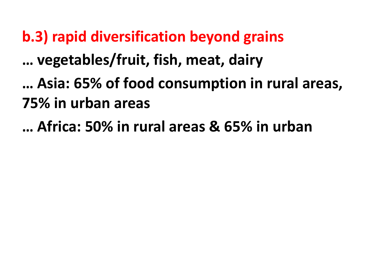#### **b.3) rapid diversification beyond grains**

**… vegetables/fruit, fish, meat, dairy**

**… Asia: 65% of food consumption in rural areas, 75% in urban areas**

**… Africa: 50% in rural areas & 65% in urban**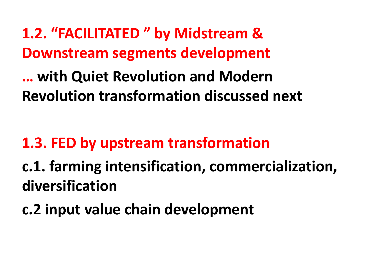### 1.2. "FACILITATED" by Midstream & **Downstream segments development**

**… with Quiet Revolution and Modern Revolution transformation discussed next**

#### **1.3. FED by upstream transformation**

# **c.1. farming intensification, commercialization, diversification**

#### **c.2 input value chain development**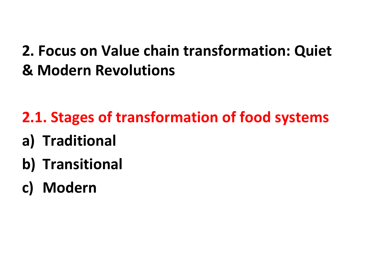#### **2. Focus on Value chain transformation: Quiet & Modern Revolutions**

# **2.1. Stages of transformation of food systems**

- **a) Traditional**
- **b)** Transitional
- **c) Modern**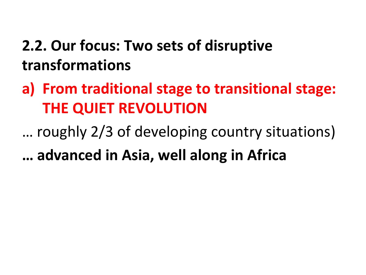### **2.2. Our focus: Two sets of disruptive transformations**

a) From traditional stage to transitional stage: **THE QUIET REVOLUTION** 

... roughly 2/3 of developing country situations) **… advanced in Asia, well along in Africa**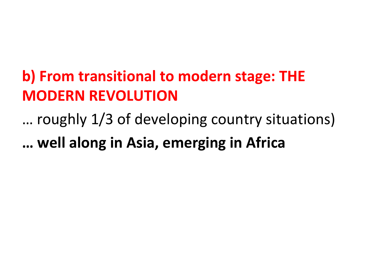### **b) From transitional to modern stage: THE MODERN REVOLUTION**

... roughly 1/3 of developing country situations)

**… well along in Asia, emerging in Africa**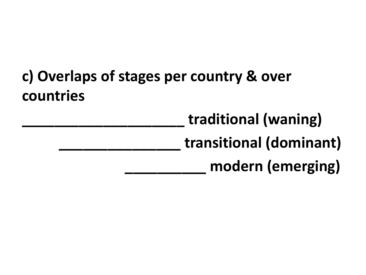### **c) Overlaps of stages per country & over countries**

**\_\_\_\_\_\_\_\_\_\_\_\_\_\_\_\_\_\_\_\_ traditional (waning) \_\_\_\_\_\_\_\_\_\_\_\_\_\_\_ transitional (dominant) \_\_\_\_\_\_\_\_\_\_ modern (emerging)**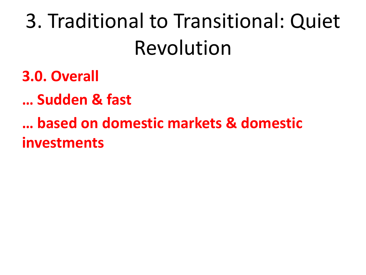3. Traditional to Transitional: Quiet Revolution

**3.0. Overall**

**… Sudden & fast**

**based on domestic markets & domestic investments**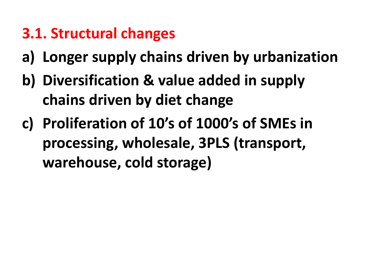#### **3.1. Structural changes**

- **a) Longer supply chains driven by urbanization**
- **b)** Diversification & value added in supply **chains driven by diet change**
- **c) Proliferation of 10's of 1000's of SMEs in**  processing, wholesale, 3PLS (transport, **warehouse, cold storage)**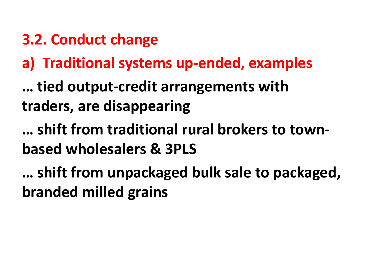#### **3.2. Conduct change**

#### **a) Traditional systems up-ended, examples**

**… tied output-credit arrangements with traders, are disappearing**

**… shift from traditional rural brokers to townbased wholesalers & 3PLS**

**...** shift from unpackaged bulk sale to packaged, **branded milled grains**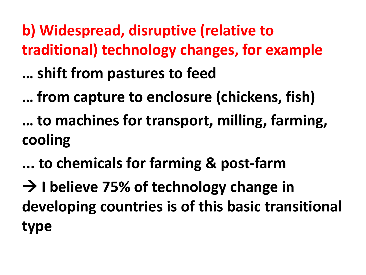**b) Widespread, disruptive (relative to traditional) technology changes, for example … shift from pastures to feed**

**… from capture to enclosure (chickens, fish)**

**... to machines for transport, milling, farming, cooling**

**... to chemicals for farming & post-farm**

 $\rightarrow$  I believe 75% of technology change in developing countries is of this basic transitional **type**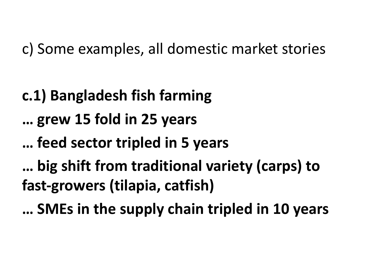c) Some examples, all domestic market stories

**c.1) Bangladesh fish farming … grew 15 fold in 25 years … feed sector tripled in 5 years** ... big shift from traditional variety (carps) to **fast-growers (tilapia, catfish)**

**… SMEs in the supply chain tripled in 10 years**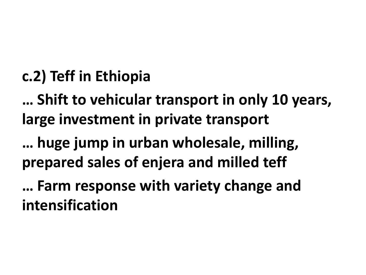#### **c.2) Teff in Ethiopia**

**…** Shift to vehicular transport in only 10 years, **large investment in private transport** 

**…** huge jump in urban wholesale, milling, **prepared sales of enjera and milled teff**

... Farm response with variety change and **intensification**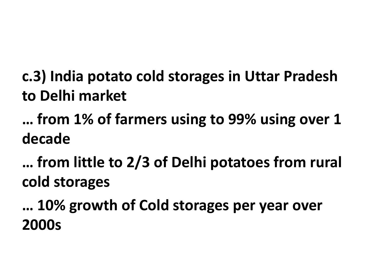### **c.3) India potato cold storages in Uttar Pradesh to Delhi market**

# **... from 1% of farmers using to 99% using over 1 decade**

... from little to 2/3 of Delhi potatoes from rural **cold storages**

**… 10% growth of Cold storages per year over 2000s**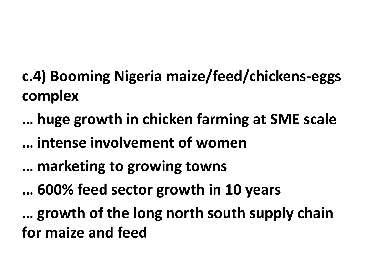- **c.4) Booming Nigeria maize/feed/chickens-eggs complex**
- **… huge growth in chicken farming at SME scale … intense involvement of women … marketing to growing towns … 600% feed sector growth in 10 years** ... growth of the long north south supply chain **for maize and feed**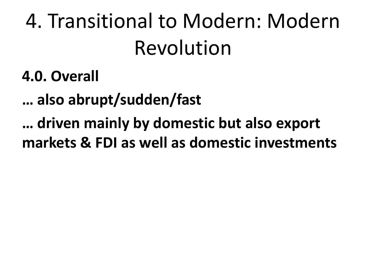4. Transitional to Modern: Modern Revolution

**4.0. Overall**

**… also abrupt/sudden/fast**

**… driven mainly by domestic but also export**  markets & FDI as well as domestic investments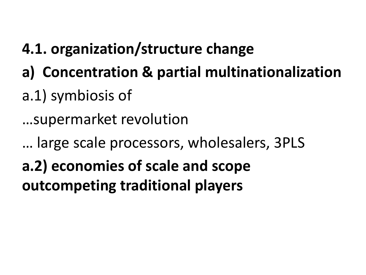### **4.1. organization/structure change**

- **a) Concentration & partial multinationalization**
- a.1) symbiosis of

...supermarket revolution

... large scale processors, wholesalers, 3PLS a.2) economies of scale and scope **outcompeting traditional players**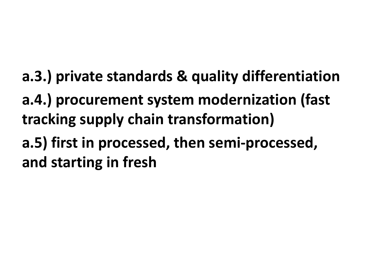- **a.3.) private standards & quality differentiation**
- a.4.) procurement system modernization (fast **tracking supply chain transformation)**
- a.5) first in processed, then semi-processed, **and starting in fresh**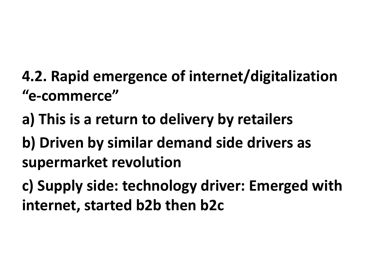- **4.2. Rapid emergence of internet/digitalization "e-commerce"**
- a) This is a return to delivery by retailers
- **b) Driven by similar demand side drivers as** supermarket revolution

**c) Supply side: technology driver: Emerged with internet, started b2b then b2c**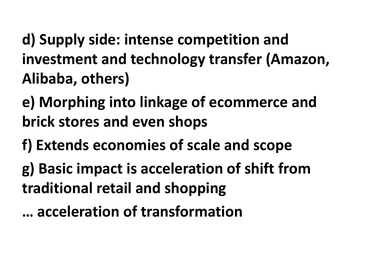d) Supply side: intense competition and investment and technology transfer (Amazon, Alibaba, others)

**e) Morphing into linkage of ecommerce and brick stores and even shops** 

**f) Extends economies of scale and scope** 

**g) Basic impact is acceleration of shift from traditional retail and shopping**

**… acceleration of transformation**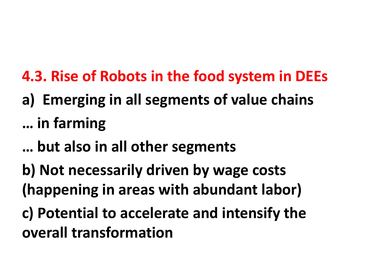**4.3. Rise of Robots in the food system in DEEs** 

- a) Emerging in all segments of value chains **… in farming**
- **… but also in all other segments**
- **b)** Not necessarily driven by wage costs **(happening in areas with abundant labor)**
- **c) Potential to accelerate and intensify the overall transformation**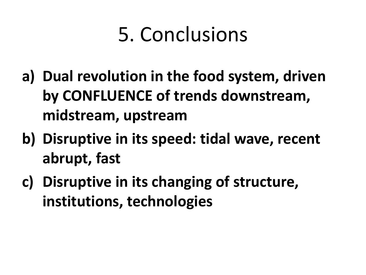# 5. Conclusions

- a) Dual revolution in the food system, driven by CONFLUENCE of trends downstream, **midstream, upstream**
- **b)** Disruptive in its speed: tidal wave, recent **abrupt, fast**
- **c)** Disruptive in its changing of structure, **institutions, technologies**